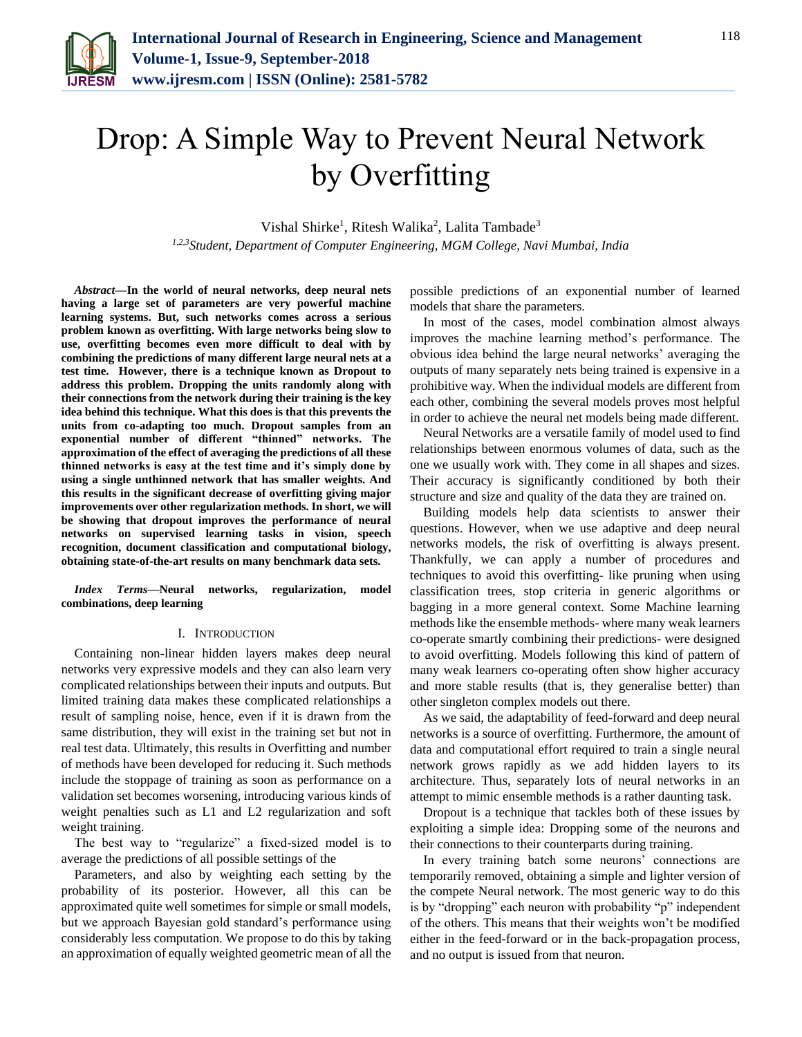

# Drop: A Simple Way to Prevent Neural Network by Overfitting

Vishal Shirke<sup>1</sup>, Ritesh Walika<sup>2</sup>, Lalita Tambade<sup>3</sup> *1,2,3Student, Department of Computer Engineering, MGM College, Navi Mumbai, India*

*Abstract***—In the world of neural networks, deep neural nets having a large set of parameters are very powerful machine learning systems. But, such networks comes across a serious problem known as overfitting. With large networks being slow to use, overfitting becomes even more difficult to deal with by combining the predictions of many different large neural nets at a test time. However, there is a technique known as Dropout to address this problem. Dropping the units randomly along with their connections from the network during their training is the key idea behind this technique. What this does is that this prevents the units from co-adapting too much. Dropout samples from an exponential number of different "thinned" networks. The approximation of the effect of averaging the predictions of all these thinned networks is easy at the test time and it's simply done by using a single unthinned network that has smaller weights. And this results in the significant decrease of overfitting giving major improvements over other regularization methods. In short, we will be showing that dropout improves the performance of neural networks on supervised learning tasks in vision, speech recognition, document classification and computational biology, obtaining state-of-the-art results on many benchmark data sets.**

*Index Terms***—Neural networks, regularization, model combinations, deep learning**

#### I. INTRODUCTION

Containing non-linear hidden layers makes deep neural networks very expressive models and they can also learn very complicated relationships between their inputs and outputs. But limited training data makes these complicated relationships a result of sampling noise, hence, even if it is drawn from the same distribution, they will exist in the training set but not in real test data. Ultimately, this results in Overfitting and number of methods have been developed for reducing it. Such methods include the stoppage of training as soon as performance on a validation set becomes worsening, introducing various kinds of weight penalties such as L1 and L2 regularization and soft weight training.

The best way to "regularize" a fixed-sized model is to average the predictions of all possible settings of the

Parameters, and also by weighting each setting by the probability of its posterior. However, all this can be approximated quite well sometimes for simple or small models, but we approach Bayesian gold standard's performance using considerably less computation. We propose to do this by taking an approximation of equally weighted geometric mean of all the possible predictions of an exponential number of learned models that share the parameters.

In most of the cases, model combination almost always improves the machine learning method's performance. The obvious idea behind the large neural networks' averaging the outputs of many separately nets being trained is expensive in a prohibitive way. When the individual models are different from each other, combining the several models proves most helpful in order to achieve the neural net models being made different.

Neural Networks are a versatile family of model used to find relationships between enormous volumes of data, such as the one we usually work with. They come in all shapes and sizes. Their accuracy is significantly conditioned by both their structure and size and quality of the data they are trained on.

Building models help data scientists to answer their questions. However, when we use adaptive and deep neural networks models, the risk of overfitting is always present. Thankfully, we can apply a number of procedures and techniques to avoid this overfitting- like pruning when using classification trees, stop criteria in generic algorithms or bagging in a more general context. Some Machine learning methods like the ensemble methods- where many weak learners co-operate smartly combining their predictions- were designed to avoid overfitting. Models following this kind of pattern of many weak learners co-operating often show higher accuracy and more stable results (that is, they generalise better) than other singleton complex models out there.

As we said, the adaptability of feed-forward and deep neural networks is a source of overfitting. Furthermore, the amount of data and computational effort required to train a single neural network grows rapidly as we add hidden layers to its architecture. Thus, separately lots of neural networks in an attempt to mimic ensemble methods is a rather daunting task.

Dropout is a technique that tackles both of these issues by exploiting a simple idea: Dropping some of the neurons and their connections to their counterparts during training.

In every training batch some neurons' connections are temporarily removed, obtaining a simple and lighter version of the compete Neural network. The most generic way to do this is by "dropping" each neuron with probability "p" independent of the others. This means that their weights won't be modified either in the feed-forward or in the back-propagation process, and no output is issued from that neuron.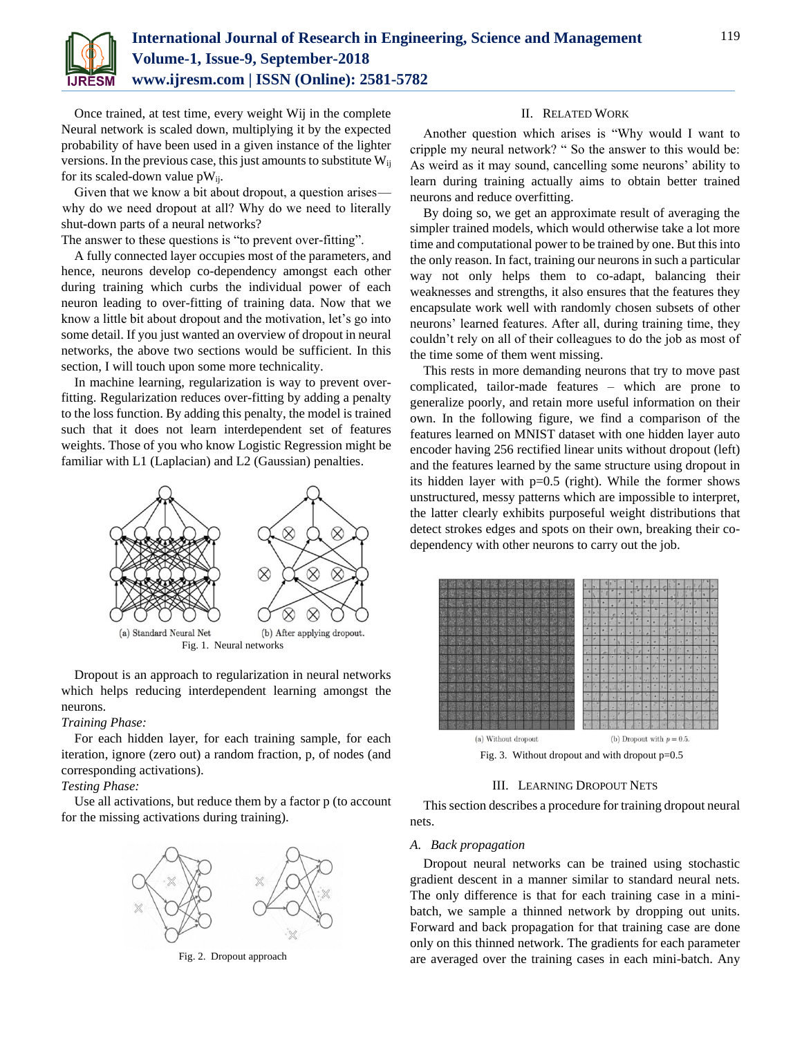

Once trained, at test time, every weight Wij in the complete Neural network is scaled down, multiplying it by the expected probability of have been used in a given instance of the lighter versions. In the previous case, this just amounts to substitute  $W_{ij}$ for its scaled-down value  $pW_{ii}$ .

Given that we know a bit about dropout, a question arises  why do we need dropout at all? Why do we need to literally shut-down parts of a neural networks?

The answer to these questions is "to prevent over-fitting".

A fully connected layer occupies most of the parameters, and hence, neurons develop co-dependency amongst each other during training which curbs the individual power of each neuron leading to over-fitting of training data. Now that we know a little bit about dropout and the motivation, let's go into some detail. If you just wanted an overview of dropout in neural networks, the above two sections would be sufficient. In this section, I will touch upon some more technicality.

In machine learning, regularization is way to prevent overfitting. Regularization reduces over-fitting by adding a penalty to the loss function. By adding this penalty, the model is trained such that it does not learn interdependent set of features weights. Those of you who know Logistic Regression might be familiar with L1 (Laplacian) and L2 (Gaussian) penalties.



Dropout is an approach to regularization in neural networks which helps reducing interdependent learning amongst the neurons.

#### *Training Phase:*

For each hidden layer, for each training sample, for each iteration, ignore (zero out) a random fraction, p, of nodes (and corresponding activations).

# *Testing Phase:*

Use all activations, but reduce them by a factor p (to account for the missing activations during training).



Fig. 2. Dropout approach

#### II. RELATED WORK

Another question which arises is "Why would I want to cripple my neural network? " So the answer to this would be: As weird as it may sound, cancelling some neurons' ability to learn during training actually aims to obtain better trained neurons and reduce overfitting.

By doing so, we get an approximate result of averaging the simpler trained models, which would otherwise take a lot more time and computational power to be trained by one. But this into the only reason. In fact, training our neurons in such a particular way not only helps them to co-adapt, balancing their weaknesses and strengths, it also ensures that the features they encapsulate work well with randomly chosen subsets of other neurons' learned features. After all, during training time, they couldn't rely on all of their colleagues to do the job as most of the time some of them went missing.

This rests in more demanding neurons that try to move past complicated, tailor-made features – which are prone to generalize poorly, and retain more useful information on their own. In the following figure, we find a comparison of the features learned on MNIST dataset with one hidden layer auto encoder having 256 rectified linear units without dropout (left) and the features learned by the same structure using dropout in its hidden layer with p=0.5 (right). While the former shows unstructured, messy patterns which are impossible to interpret, the latter clearly exhibits purposeful weight distributions that detect strokes edges and spots on their own, breaking their codependency with other neurons to carry out the job.



Fig. 3. Without dropout and with dropout p=0.5

## III. LEARNING DROPOUT NETS

This section describes a procedure for training dropout neural nets.

#### *A. Back propagation*

Dropout neural networks can be trained using stochastic gradient descent in a manner similar to standard neural nets. The only difference is that for each training case in a minibatch, we sample a thinned network by dropping out units. Forward and back propagation for that training case are done only on this thinned network. The gradients for each parameter are averaged over the training cases in each mini-batch. Any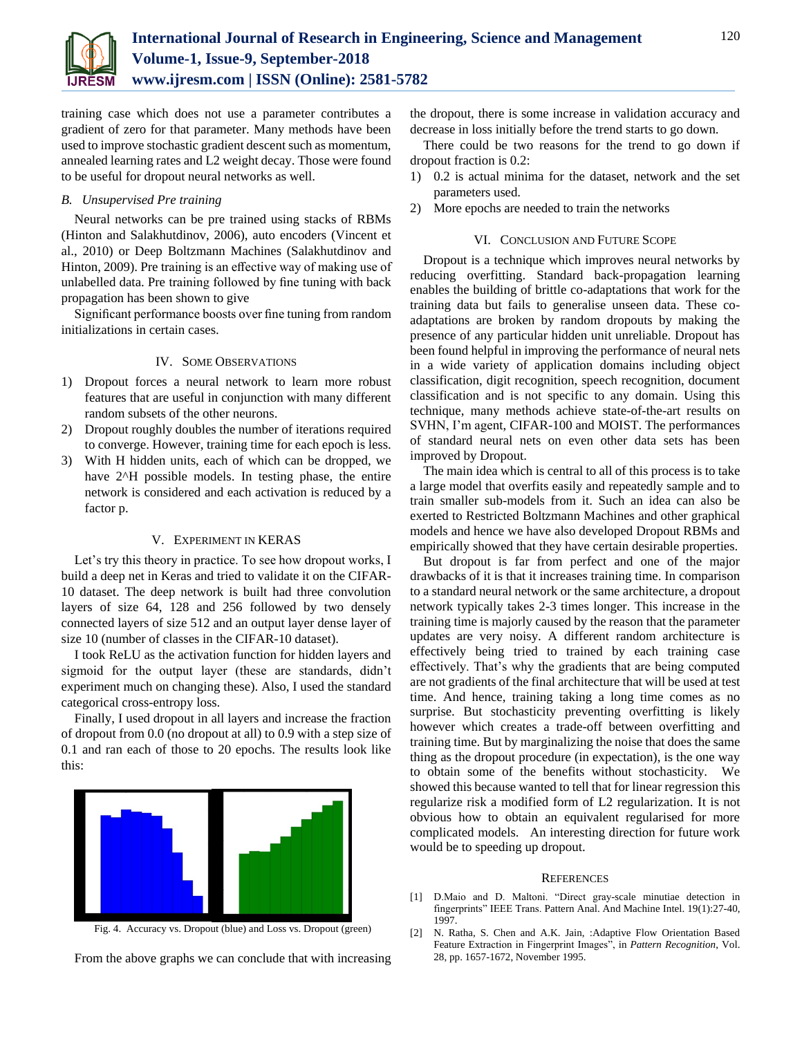

training case which does not use a parameter contributes a gradient of zero for that parameter. Many methods have been used to improve stochastic gradient descent such as momentum, annealed learning rates and L2 weight decay. Those were found to be useful for dropout neural networks as well.

## *B. Unsupervised Pre training*

Neural networks can be pre trained using stacks of RBMs (Hinton and Salakhutdinov, 2006), auto encoders (Vincent et al., 2010) or Deep Boltzmann Machines (Salakhutdinov and Hinton, 2009). Pre training is an effective way of making use of unlabelled data. Pre training followed by fine tuning with back propagation has been shown to give

Significant performance boosts over fine tuning from random initializations in certain cases.

## IV. SOME OBSERVATIONS

- 1) Dropout forces a neural network to learn more robust features that are useful in conjunction with many different random subsets of the other neurons.
- 2) Dropout roughly doubles the number of iterations required to converge. However, training time for each epoch is less.
- 3) With H hidden units, each of which can be dropped, we have 2<sup> $\triangle$ </sup>H possible models. In testing phase, the entire network is considered and each activation is reduced by a factor p.

# V. EXPERIMENT IN KERAS

Let's try this theory in practice. To see how dropout works, I build a deep net in Keras and tried to validate it on the CIFAR-10 dataset. The deep network is built had three convolution layers of size 64, 128 and 256 followed by two densely connected layers of size 512 and an output layer dense layer of size 10 (number of classes in the CIFAR-10 dataset).

I took ReLU as the activation function for hidden layers and sigmoid for the output layer (these are standards, didn't experiment much on changing these). Also, I used the standard categorical cross-entropy loss.

Finally, I used dropout in all layers and increase the fraction of dropout from 0.0 (no dropout at all) to 0.9 with a step size of 0.1 and ran each of those to 20 epochs. The results look like this:



Fig. 4. Accuracy vs. Dropout (blue) and Loss vs. Dropout (green)

From the above graphs we can conclude that with increasing

the dropout, there is some increase in validation accuracy and decrease in loss initially before the trend starts to go down.

There could be two reasons for the trend to go down if dropout fraction is 0.2:

- 1) 0.2 is actual minima for the dataset, network and the set parameters used.
- 2) More epochs are needed to train the networks

#### VI. CONCLUSION AND FUTURE SCOPE

Dropout is a technique which improves neural networks by reducing overfitting. Standard back-propagation learning enables the building of brittle co-adaptations that work for the training data but fails to generalise unseen data. These coadaptations are broken by random dropouts by making the presence of any particular hidden unit unreliable. Dropout has been found helpful in improving the performance of neural nets in a wide variety of application domains including object classification, digit recognition, speech recognition, document classification and is not specific to any domain. Using this technique, many methods achieve state-of-the-art results on SVHN, I'm agent, CIFAR-100 and MOIST. The performances of standard neural nets on even other data sets has been improved by Dropout.

The main idea which is central to all of this process is to take a large model that overfits easily and repeatedly sample and to train smaller sub-models from it. Such an idea can also be exerted to Restricted Boltzmann Machines and other graphical models and hence we have also developed Dropout RBMs and empirically showed that they have certain desirable properties.

But dropout is far from perfect and one of the major drawbacks of it is that it increases training time. In comparison to a standard neural network or the same architecture, a dropout network typically takes 2-3 times longer. This increase in the training time is majorly caused by the reason that the parameter updates are very noisy. A different random architecture is effectively being tried to trained by each training case effectively. That's why the gradients that are being computed are not gradients of the final architecture that will be used at test time. And hence, training taking a long time comes as no surprise. But stochasticity preventing overfitting is likely however which creates a trade-off between overfitting and training time. But by marginalizing the noise that does the same thing as the dropout procedure (in expectation), is the one way to obtain some of the benefits without stochasticity. We showed this because wanted to tell that for linear regression this regularize risk a modified form of L2 regularization. It is not obvious how to obtain an equivalent regularised for more complicated models. An interesting direction for future work would be to speeding up dropout.

#### **REFERENCES**

- [1] D.Maio and D. Maltoni. "Direct gray-scale minutiae detection in fingerprints" IEEE Trans. Pattern Anal. And Machine Intel. 19(1):27-40, 1997.
- [2] N. Ratha, S. Chen and A.K. Jain, :Adaptive Flow Orientation Based Feature Extraction in Fingerprint Images", in *Pattern Recognition*, Vol. 28, pp. 1657-1672, November 1995.